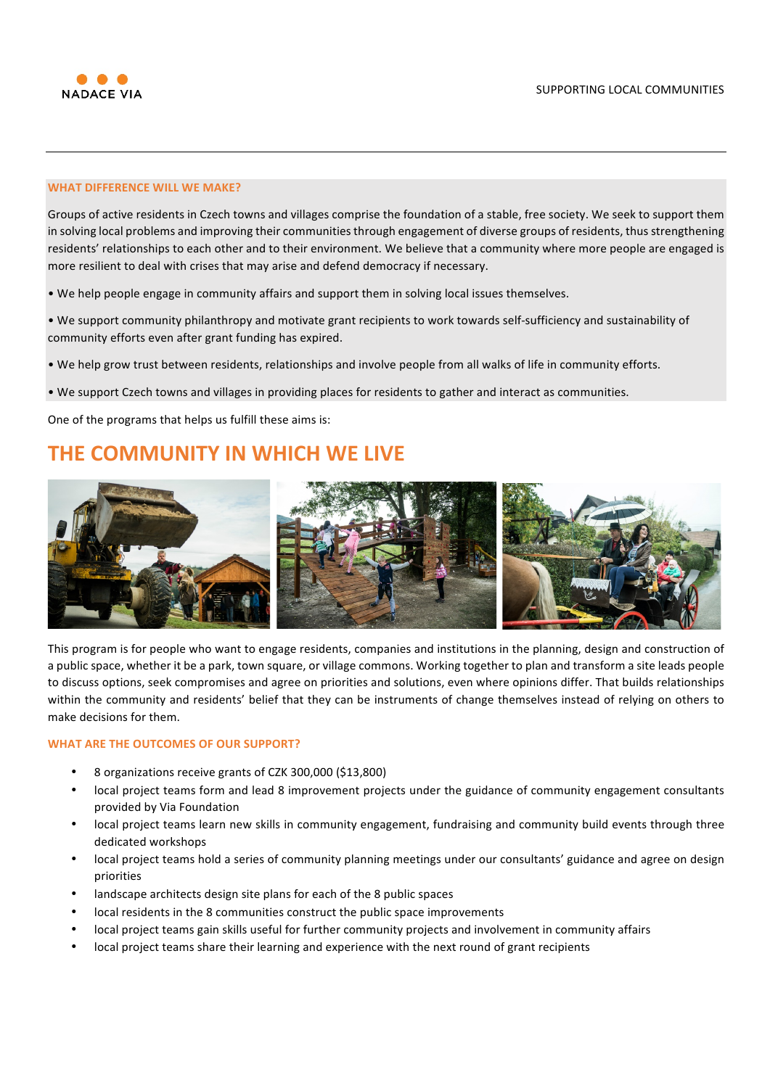

# **WHAT DIFFERENCE WILL WE MAKE?**

Groups of active residents in Czech towns and villages comprise the foundation of a stable, free society. We seek to support them in solving local problems and improving their communities through engagement of diverse groups of residents, thus strengthening residents' relationships to each other and to their environment. We believe that a community where more people are engaged is more resilient to deal with crises that may arise and defend democracy if necessary.

• We help people engage in community affairs and support them in solving local issues themselves.

• We support community philanthropy and motivate grant recipients to work towards self-sufficiency and sustainability of community efforts even after grant funding has expired.

• We help grow trust between residents, relationships and involve people from all walks of life in community efforts.

• We support Czech towns and villages in providing places for residents to gather and interact as communities.

One of the programs that helps us fulfill these aims is:

# **THE COMMUNITY IN WHICH WE LIVE**



This program is for people who want to engage residents, companies and institutions in the planning, design and construction of a public space, whether it be a park, town square, or village commons. Working together to plan and transform a site leads people to discuss options, seek compromises and agree on priorities and solutions, even where opinions differ. That builds relationships within the community and residents' belief that they can be instruments of change themselves instead of relying on others to make decisions for them.

#### **WHAT ARE THE OUTCOMES OF OUR SUPPORT?**

- 8 organizations receive grants of CZK 300,000 (\$13,800)
- local project teams form and lead 8 improvement projects under the guidance of community engagement consultants provided by Via Foundation
- local project teams learn new skills in community engagement, fundraising and community build events through three dedicated workshops
- local project teams hold a series of community planning meetings under our consultants' guidance and agree on design priorities
- landscape architects design site plans for each of the 8 public spaces
- local residents in the 8 communities construct the public space improvements
- local project teams gain skills useful for further community projects and involvement in community affairs
- local project teams share their learning and experience with the next round of grant recipients